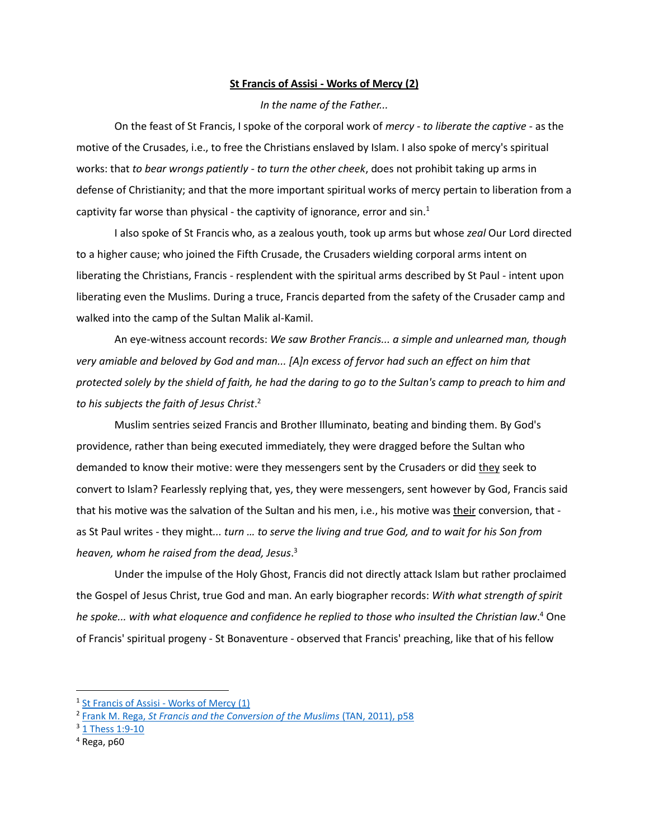## **St Francis of Assisi - Works of Mercy (2)**

## *In the name of the Father...*

On the feast of St Francis, I spoke of the corporal work of *mercy* - *to liberate the captive -* as the motive of the Crusades, i.e., to free the Christians enslaved by Islam. I also spoke of mercy's spiritual works: that *to bear wrongs patiently - to turn the other cheek*, does not prohibit taking up arms in defense of Christianity; and that the more important spiritual works of mercy pertain to liberation from a captivity far worse than physical - the captivity of ignorance, error and  $sin<sup>1</sup>$ 

I also spoke of St Francis who, as a zealous youth, took up arms but whose *zeal* Our Lord directed to a higher cause; who joined the Fifth Crusade, the Crusaders wielding corporal arms intent on liberating the Christians, Francis - resplendent with the spiritual arms described by St Paul - intent upon liberating even the Muslims. During a truce, Francis departed from the safety of the Crusader camp and walked into the camp of the Sultan Malik al-Kamil.

An eye-witness account records: *We saw Brother Francis... a simple and unlearned man, though very amiable and beloved by God and man... [A]n excess of fervor had such an effect on him that protected solely by the shield of faith, he had the daring to go to the Sultan's camp to preach to him and to his subjects the faith of Jesus Christ*. 2

Muslim sentries seized Francis and Brother Illuminato, beating and binding them. By God's providence, rather than being executed immediately, they were dragged before the Sultan who demanded to know their motive: were they messengers sent by the Crusaders or did they seek to convert to Islam? Fearlessly replying that, yes, they were messengers, sent however by God, Francis said that his motive was the salvation of the Sultan and his men, i.e., his motive was their conversion, that as St Paul writes - they might*... turn … to serve the living and true God, and to wait for his Son from heaven, whom he raised from the dead, Jesus*. 3

Under the impulse of the Holy Ghost, Francis did not directly attack Islam but rather proclaimed the Gospel of Jesus Christ, true God and man. An early biographer records: *With what strength of spirit he spoke... with what eloquence and confidence he replied to those who insulted the Christian law*. <sup>4</sup> One of Francis' spiritual progeny - St Bonaventure - observed that Francis' preaching, like that of his fellow

<sup>&</sup>lt;sup>1</sup> [St Francis of Assisi -](http://stfrancislincoln.org/pdf/Sermon_2019_St_Francis_of_Assisi_Works_of_Mercy.pdf) Works of Mercy (1)

<sup>&</sup>lt;sup>2</sup> Frank M. Rega, *St Francis and the Conversion of the Muslims* (TAN, 2011), p58

<sup>3</sup> [1 Thess 1:9-10](https://www.biblegateway.com/passage/?search=1+Thessalonians+1&version=ESV)

 $4$  Rega, p60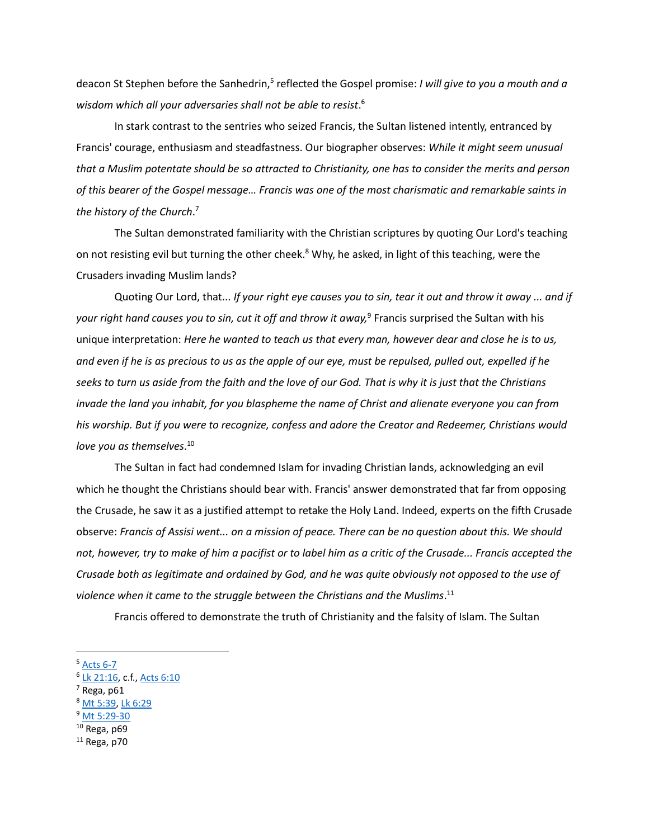deacon St Stephen before the Sanhedrin,<sup>5</sup> reflected the Gospel promise: *I will give to you a mouth and a wisdom which all your adversaries shall not be able to resist*. 6

In stark contrast to the sentries who seized Francis, the Sultan listened intently, entranced by Francis' courage, enthusiasm and steadfastness. Our biographer observes: *While it might seem unusual that a Muslim potentate should be so attracted to Christianity, one has to consider the merits and person of this bearer of the Gospel message… Francis was one of the most charismatic and remarkable saints in the history of the Church*. 7

The Sultan demonstrated familiarity with the Christian scriptures by quoting Our Lord's teaching on not resisting evil but turning the other cheek.<sup>8</sup> Why, he asked, in light of this teaching, were the Crusaders invading Muslim lands?

Quoting Our Lord, that... *If your right eye causes you to sin, tear it out and throw it away ... and if your right hand causes you to sin, cut it off and throw it away,*<sup>9</sup> Francis surprised the Sultan with his unique interpretation: *Here he wanted to teach us that every man, however dear and close he is to us, and even if he is as precious to us as the apple of our eye, must be repulsed, pulled out, expelled if he seeks to turn us aside from the faith and the love of our God. That is why it is just that the Christians invade the land you inhabit, for you blaspheme the name of Christ and alienate everyone you can from his worship. But if you were to recognize, confess and adore the Creator and Redeemer, Christians would love you as themselves*. 10

The Sultan in fact had condemned Islam for invading Christian lands, acknowledging an evil which he thought the Christians should bear with. Francis' answer demonstrated that far from opposing the Crusade, he saw it as a justified attempt to retake the Holy Land. Indeed, experts on the fifth Crusade observe: *Francis of Assisi went... on a mission of peace. There can be no question about this. We should not, however, try to make of him a pacifist or to label him as a critic of the Crusade... Francis accepted the Crusade both as legitimate and ordained by God, and he was quite obviously not opposed to the use of violence when it came to the struggle between the Christians and the Muslims*. 11

Francis offered to demonstrate the truth of Christianity and the falsity of Islam. The Sultan

- 6 [Lk 21:16,](https://www.biblegateway.com/passage/?search=Luke+21&version=RSVCE) c.f.[, Acts 6:10](https://www.biblegateway.com/passage/?search=Acts+6&version=RSVCE)
- $<sup>7</sup>$  Rega, p61</sup>
- <sup>8</sup> [Mt 5:39,](https://www.biblegateway.com/passage/?search=Matthew+5&version=RSVCE) [Lk 6:29](https://www.biblegateway.com/passage/?search=Luke+6&version=RSVCE)
- <sup>9</sup> [Mt 5:29-30](https://www.biblegateway.com/passage/?search=Matthew+5&version=RSVCE)
- $10$  Rega, p69
- $11$  Rega, p70

<sup>&</sup>lt;sup>5</sup> [Acts 6-7](https://www.biblegateway.com/passage/?search=Acts+6&version=ESV)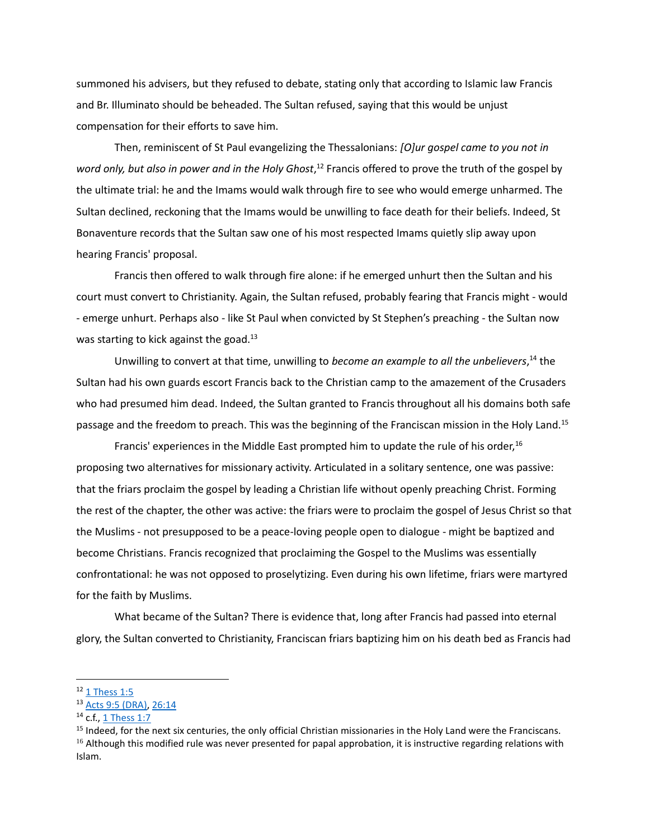summoned his advisers, but they refused to debate, stating only that according to Islamic law Francis and Br. Illuminato should be beheaded. The Sultan refused, saying that this would be unjust compensation for their efforts to save him.

Then, reminiscent of St Paul evangelizing the Thessalonians: *[O]ur gospel came to you not in word only, but also in power and in the Holy Ghost*, <sup>12</sup> Francis offered to prove the truth of the gospel by the ultimate trial: he and the Imams would walk through fire to see who would emerge unharmed. The Sultan declined, reckoning that the Imams would be unwilling to face death for their beliefs. Indeed, St Bonaventure records that the Sultan saw one of his most respected Imams quietly slip away upon hearing Francis' proposal.

Francis then offered to walk through fire alone: if he emerged unhurt then the Sultan and his court must convert to Christianity. Again, the Sultan refused, probably fearing that Francis might - would - emerge unhurt. Perhaps also - like St Paul when convicted by St Stephen's preaching - the Sultan now was starting to kick against the goad. $13$ 

Unwilling to convert at that time, unwilling to *become an example to all the unbelievers*, <sup>14</sup> the Sultan had his own guards escort Francis back to the Christian camp to the amazement of the Crusaders who had presumed him dead. Indeed, the Sultan granted to Francis throughout all his domains both safe passage and the freedom to preach. This was the beginning of the Franciscan mission in the Holy Land.<sup>15</sup>

Francis' experiences in the Middle East prompted him to update the rule of his order,<sup>16</sup> proposing two alternatives for missionary activity. Articulated in a solitary sentence, one was passive: that the friars proclaim the gospel by leading a Christian life without openly preaching Christ. Forming the rest of the chapter, the other was active: the friars were to proclaim the gospel of Jesus Christ so that the Muslims - not presupposed to be a peace-loving people open to dialogue - might be baptized and become Christians. Francis recognized that proclaiming the Gospel to the Muslims was essentially confrontational: he was not opposed to proselytizing. Even during his own lifetime, friars were martyred for the faith by Muslims.

What became of the Sultan? There is evidence that, long after Francis had passed into eternal glory, the Sultan converted to Christianity, Franciscan friars baptizing him on his death bed as Francis had

 $12$  [1 Thess 1:5](https://www.biblegateway.com/passage/?search=1+Thessalonians+1&version=ESV)

<sup>13</sup> [Acts 9:5](https://www.biblegateway.com/passage/?search=Acts+9&version=RSVCE) (DRA)[, 26:14](https://www.biblegateway.com/passage/?search=Acts+26&version=RSVCE)

<sup>14</sup> c.f., [1 Thess 1:7](https://www.biblegateway.com/passage/?search=1+Thessalonians+1&version=ESV)

<sup>&</sup>lt;sup>15</sup> Indeed, for the next six centuries, the only official Christian missionaries in the Holy Land were the Franciscans.  $16$  Although this modified rule was never presented for papal approbation, it is instructive regarding relations with Islam.